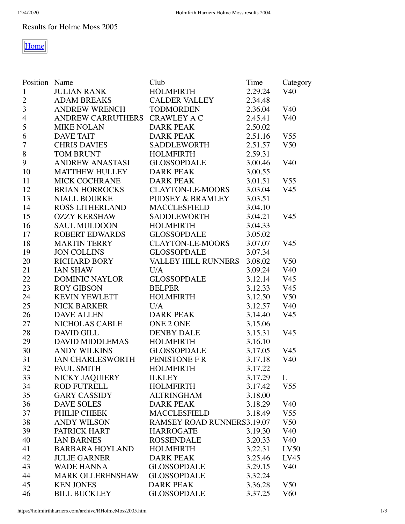## Results for Holme Moss 2005



| Position Name    |                                | Club                              | Time    | Category        |
|------------------|--------------------------------|-----------------------------------|---------|-----------------|
| $\mathbf{1}$     | <b>JULIAN RANK</b>             | <b>HOLMFIRTH</b>                  | 2.29.24 | V40             |
| $\sqrt{2}$       | <b>ADAM BREAKS</b>             | CALDER VALLEY                     | 2.34.48 |                 |
| 3                | <b>ANDREW WRENCH</b>           | <b>TODMORDEN</b>                  | 2.36.04 | V <sub>40</sub> |
| $\overline{4}$   | ANDREW CARRUTHERS CRAWLEY A C  |                                   | 2.45.41 | V40             |
| 5                | <b>MIKE NOLAN</b>              | <b>DARK PEAK</b>                  | 2.50.02 |                 |
| 6                | <b>DAVE TAIT</b>               | <b>DARK PEAK</b>                  | 2.51.16 | V <sub>55</sub> |
| $\boldsymbol{7}$ | <b>CHRIS DAVIES</b>            | SADDLEWORTH                       | 2.51.57 | V <sub>50</sub> |
| $8\,$            | <b>TOM BRUNT</b>               | <b>HOLMFIRTH</b>                  | 2.59.31 |                 |
| $\boldsymbol{9}$ | ANDREW ANASTASI                | <b>GLOSSOPDALE</b>                | 3.00.46 | V <sub>40</sub> |
| 10               | <b>MATTHEW HULLEY</b>          | <b>DARK PEAK</b>                  | 3.00.55 |                 |
| 11               | <b>MICK COCHRANE</b>           | <b>DARK PEAK</b>                  | 3.01.51 | V <sub>55</sub> |
| 12               | <b>BRIAN HORROCKS</b>          | <b>CLAYTON-LE-MOORS</b>           | 3.03.04 | V <sub>45</sub> |
| 13               | <b>NIALL BOURKE</b>            | PUDSEY & BRAMLEY                  | 3.03.51 |                 |
| 14               | <b>ROSS LITHERLAND</b>         | <b>MACCLESFIELD</b>               | 3.04.10 |                 |
| 15               | <b>OZZY KERSHAW</b>            | SADDLEWORTH                       | 3.04.21 | V <sub>45</sub> |
| 16               | <b>SAUL MULDOON</b>            | <b>HOLMFIRTH</b>                  | 3.04.33 |                 |
| 17               | <b>ROBERT EDWARDS</b>          | GLOSSOPDALE                       | 3.05.02 |                 |
| 18               | <b>MARTIN TERRY</b>            | <b>CLAYTON-LE-MOORS</b>           | 3.07.07 | V <sub>45</sub> |
| 19               | <b>JON COLLINS</b>             | <b>GLOSSOPDALE</b>                | 3.07.34 |                 |
| 20               | <b>RICHARD BORY</b>            | <b>VALLEY HILL RUNNERS</b>        | 3.08.02 | V <sub>50</sub> |
| 21               | <b>IAN SHAW</b>                | U/A                               | 3.09.24 | V <sub>40</sub> |
| 22               | DOMINIC NAYLOR                 | <b>GLOSSOPDALE</b>                | 3.12.14 | V <sub>45</sub> |
| 23               | <b>ROY GIBSON</b>              | <b>BELPER</b>                     | 3.12.33 | V <sub>45</sub> |
| 24               | <b>KEVIN YEWLETT</b>           | <b>HOLMFIRTH</b>                  | 3.12.50 | V <sub>50</sub> |
| 25               | <b>NICK BARKER</b>             | U/A                               | 3.12.57 | V40             |
| 26               | <b>DAVE ALLEN</b>              | <b>DARK PEAK</b>                  | 3.14.40 | V <sub>45</sub> |
| 27               | NICHOLAS CABLE                 | ONE 2 ONE                         | 3.15.06 |                 |
| 28               | <b>DAVID GILL</b>              | <b>DENBY DALE</b>                 | 3.15.31 | V <sub>45</sub> |
| 29               | DAVID MIDDLEMAS                | <b>HOLMFIRTH</b>                  | 3.16.10 |                 |
| 30               | <b>ANDY WILKINS</b>            | <b>GLOSSOPDALE</b>                | 3.17.05 | V <sub>45</sub> |
| 31               | IAN CHARLESWORTH PENISTONE F R |                                   | 3.17.18 | V <sub>40</sub> |
| 32               | PAUL SMITH                     | <b>HOLMFIRTH</b>                  | 3.17.22 |                 |
| 33               | NICKY JAQUIERY                 | <b>ILKLEY</b>                     | 3.17.29 | L               |
| 34               | <b>ROD FUTRELL</b>             | <b>HOLMFIRTH</b>                  | 3.17.42 | V <sub>55</sub> |
| 35               | <b>GARY CASSIDY</b>            | <b>ALTRINGHAM</b>                 | 3.18.00 |                 |
| 36               | <b>DAVE SOLES</b>              | <b>DARK PEAK</b>                  | 3.18.29 | V <sub>40</sub> |
| 37               | PHILIP CHEEK                   | <b>MACCLESFIELD</b>               | 3.18.49 | V <sub>55</sub> |
| 38               | <b>ANDY WILSON</b>             | <b>RAMSEY ROAD RUNNERS3.19.07</b> |         | V <sub>50</sub> |
| 39               | PATRICK HART                   | <b>HARROGATE</b>                  | 3.19.30 | V40             |
| 40               | <b>IAN BARNES</b>              | <b>ROSSENDALE</b>                 | 3.20.33 | V <sub>40</sub> |
| 41               | <b>BARBARA HOYLAND</b>         | <b>HOLMFIRTH</b>                  | 3.22.31 | LV50            |
| 42               | <b>JULIE GARNER</b>            | <b>DARK PEAK</b>                  | 3.25.46 | LV45            |
| 43               | <b>WADE HANNA</b>              | <b>GLOSSOPDALE</b>                | 3.29.15 | V40             |
| 44               | <b>MARK OLLERENSHAW</b>        | <b>GLOSSOPDALE</b>                | 3.32.24 |                 |
| 45               | <b>KEN JONES</b>               | <b>DARK PEAK</b>                  | 3.36.28 | V <sub>50</sub> |
| 46               | <b>BILL BUCKLEY</b>            | <b>GLOSSOPDALE</b>                | 3.37.25 | V60             |
|                  |                                |                                   |         |                 |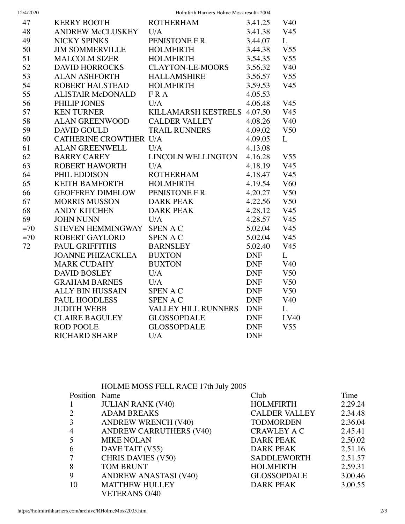| 12/4/2020 |  |
|-----------|--|

12/4/2020 Holmfirth Harriers Holme Moss results 2004

| 47    | <b>KERRY BOOTH</b>            | <b>ROTHERHAM</b>            | 3.41.25    | V <sub>40</sub> |
|-------|-------------------------------|-----------------------------|------------|-----------------|
| 48    | ANDREW McCLUSKEY U/A          |                             | 3.41.38    | V <sub>45</sub> |
| 49    | <b>NICKY SPINKS</b>           | PENISTONE F R               | 3.44.07    | L               |
| 50    | <b>JIM SOMMERVILLE</b>        | <b>HOLMFIRTH</b>            | 3.44.38    | V <sub>55</sub> |
| 51    | <b>MALCOLM SIZER</b>          | <b>HOLMFIRTH</b>            | 3.54.35    | V <sub>55</sub> |
| 52    | <b>DAVID HORROCKS</b>         | <b>CLAYTON-LE-MOORS</b>     | 3.56.32    | V <sub>40</sub> |
| 53    | ALAN ASHFORTH                 | <b>HALLAMSHIRE</b>          | 3.56.57    | V <sub>55</sub> |
| 54    | ROBERT HALSTEAD               | <b>HOLMFIRTH</b>            | 3.59.53    | V <sub>45</sub> |
| 55    | ALISTAIR McDONALD             | FRA                         | 4.05.53    |                 |
| 56    | PHILIP JONES                  | U/A                         | 4.06.48    | V <sub>45</sub> |
| 57    | <b>KEN TURNER</b>             | KILLAMARSH KESTRELS 4.07.50 |            | V <sub>45</sub> |
| 58    | <b>ALAN GREENWOOD</b>         | <b>CALDER VALLEY</b>        | 4.08.26    | V40             |
| 59    | <b>DAVID GOULD</b>            | <b>TRAIL RUNNERS</b>        | 4.09.02    | V <sub>50</sub> |
| 60    | <b>CATHERINE CROWTHER U/A</b> |                             | 4.09.05    | L               |
| 61    | <b>ALAN GREENWELL</b>         | U/A                         | 4.13.08    |                 |
| 62    | <b>BARRY CAREY</b>            | LINCOLN WELLINGTON          | 4.16.28    | V <sub>55</sub> |
| 63    | ROBERT HAWORTH                | U/A                         | 4.18.19    | V <sub>45</sub> |
| 64    | PHIL EDDISON                  | <b>ROTHERHAM</b>            | 4.18.47    | V <sub>45</sub> |
| 65    | <b>KEITH BAMFORTH</b>         | <b>HOLMFIRTH</b>            | 4.19.54    | V60             |
| 66    | GEOFFREY DIMELOW              | PENISTONE F R               | 4.20.27    | V <sub>50</sub> |
| 67    | <b>MORRIS MUSSON</b>          | <b>DARK PEAK</b>            | 4.22.56    | V <sub>50</sub> |
| 68    | <b>ANDY KITCHEN</b>           | <b>DARK PEAK</b>            | 4.28.12    | V <sub>45</sub> |
| 69    | <b>JOHN NUNN</b>              | U/A                         | 4.28.57    | V45             |
| $=70$ | STEVEN HEMMINGWAY SPEN A C    |                             | 5.02.04    | V <sub>45</sub> |
| $=70$ | <b>ROBERT GAYLORD</b>         | <b>SPENAC</b>               | 5.02.04    | V45             |
| 72    | PAUL GRIFFITHS                | <b>BARNSLEY</b>             | 5.02.40    | V <sub>45</sub> |
|       | JOANNE PHIZACKLEA             | <b>BUXTON</b>               | <b>DNF</b> | L               |
|       | <b>MARK CUDAHY</b>            | <b>BUXTON</b>               | <b>DNF</b> | V <sub>40</sub> |
|       | <b>DAVID BOSLEY</b>           | U/A                         | <b>DNF</b> | V <sub>50</sub> |
|       | <b>GRAHAM BARNES</b>          | U/A                         | <b>DNF</b> | V <sub>50</sub> |
|       | ALLY BIN HUSSAIN              | <b>SPENAC</b>               | <b>DNF</b> | V <sub>50</sub> |
|       | PAUL HOODLESS                 | <b>SPENAC</b>               | <b>DNF</b> | V <sub>40</sub> |
|       | <b>JUDITH WEBB</b>            | <b>VALLEY HILL RUNNERS</b>  | <b>DNF</b> | L               |
|       | <b>CLAIRE BAGULEY</b>         | <b>GLOSSOPDALE</b>          | <b>DNF</b> | LV40            |
|       | <b>ROD POOLE</b>              | <b>GLOSSOPDALE</b>          | <b>DNF</b> | V <sub>55</sub> |
|       | <b>RICHARD SHARP</b>          | U/A                         | <b>DNF</b> |                 |
|       |                               |                             |            |                 |

|               | HOLME MOSS FELL RACE 17th July 2005 |                      |         |
|---------------|-------------------------------------|----------------------|---------|
| Position Name |                                     | Club                 | Time    |
|               | <b>JULIAN RANK (V40)</b>            | <b>HOLMFIRTH</b>     | 2.29.24 |
|               | <b>ADAM BREAKS</b>                  | <b>CALDER VALLEY</b> | 2.34.48 |
| 3             | <b>ANDREW WRENCH (V40)</b>          | <b>TODMORDEN</b>     | 2.36.04 |
| 4             | <b>ANDREW CARRUTHERS (V40)</b>      | <b>CRAWLEY A C</b>   | 2.45.41 |
|               | <b>MIKE NOLAN</b>                   | <b>DARK PEAK</b>     | 2.50.02 |
| 6             | DAVE TAIT (V55)                     | <b>DARK PEAK</b>     | 2.51.16 |
|               | <b>CHRIS DAVIES (V50)</b>           | <b>SADDLEWORTH</b>   | 2.51.57 |
| 8             | <b>TOM BRUNT</b>                    | <b>HOLMFIRTH</b>     | 2.59.31 |
| 9             | <b>ANDREW ANASTASI (V40)</b>        | <b>GLOSSOPDALE</b>   | 3.00.46 |
| 10            | <b>MATTHEW HULLEY</b>               | <b>DARK PEAK</b>     | 3.00.55 |
|               | <b>VETERANS O/40</b>                |                      |         |